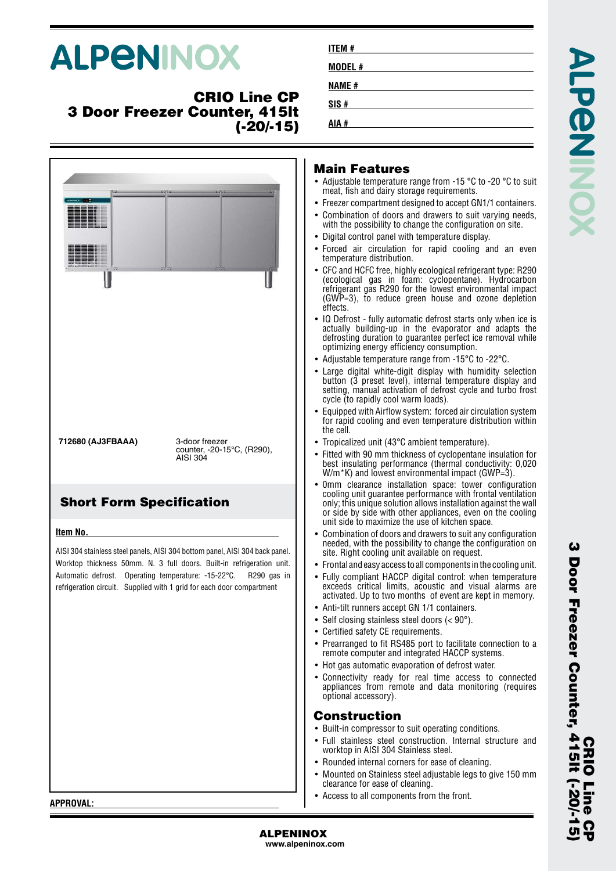# **ALPENINOX**

## **CRIO Line CP 3 Door Freezer Counter, 415lt (-20/-15)**

|                                 | 22222<br>27.2                                                                                                                                                                                                                                                                                     |
|---------------------------------|---------------------------------------------------------------------------------------------------------------------------------------------------------------------------------------------------------------------------------------------------------------------------------------------------|
| 712680 (AJ3FBAAA)               | 3-door freezer<br>counter, -20-15°C, (R290),<br>AISI 304                                                                                                                                                                                                                                          |
| <b>Short Form Specification</b> |                                                                                                                                                                                                                                                                                                   |
| Item No.                        |                                                                                                                                                                                                                                                                                                   |
|                                 | AISI 304 stainless steel panels, AISI 304 bottom panel, AISI 304 back panel.<br>Worktop thickness 50mm. N. 3 full doors. Built-in refrigeration unit.<br>Automatic defrost. Operating temperature: -15-22°C. R290 gas in<br>refrigeration circuit. Supplied with 1 grid for each door compartment |

#### **Main Features**

**ITEM # MODEL # NAME # SIS # AIA #**

- Adjustable temperature range from -15 °C to -20 °C to suit meat, fish and dairy storage requirements.
- Freezer compartment designed to accept GN1/1 containers.
- Combination of doors and drawers to suit varying needs, with the possibility to change the configuration on site.
- Digital control panel with temperature display.
- Forced air circulation for rapid cooling and an even temperature distribution.
- CFC and HCFC free, highly ecological refrigerant type: R290 (ecological gas in foam: cyclopentane). Hydrocarbon refrigerant gas R290 for the lowest environmental impact (GWP=3), to reduce green house and ozone depletion effects.
- IQ Defrost fully automatic defrost starts only when ice is actually building-up in the evaporator and adapts the defrosting duration to guarantee perfect ice removal while optimizing energy efficiency consumption.
- Adjustable temperature range from -15°C to -22°C.
- Large digital white-digit display with humidity selection button (3 preset level), internal temperature display and setting, manual activation of defrost cycle and turbo frost cycle (to rapidly cool warm loads).
- Equipped with Airflow system: forced air circulation system for rapid cooling and even temperature distribution within the cell.
- Tropicalized unit (43°C ambient temperature).
- Fitted with 90 mm thickness of cyclopentane insulation for best insulating performance (thermal conductivity: 0,020  $W/m$ <sup>\*</sup>K) and lowest environmental impact (GWP=3).
- 0mm clearance installation space: tower configuration cooling unit guarantee performance with frontal ventilation only; this unique solution allows installation against the wall or side by side with other appliances, even on the cooling unit side to maximize the use of kitchen space.
- Combination of doors and drawers to suit any configuration needed, with the possibility to change the configuration on site. Right cooling unit available on request.
- Frontal and easy access to all components in the cooling unit.
- Fully compliant HACCP digital control: when temperature exceeds critical limits, acoustic and visual alarms are activated. Up to two months of event are kept in memory.
- Anti-tilt runners accept GN 1/1 containers.
- Self closing stainless steel doors (< 90°).
- Certified safety CE requirements.
- Prearranged to fit RS485 port to facilitate connection to a remote computer and integrated HACCP systems.
- Hot gas automatic evaporation of defrost water.
- Connectivity ready for real time access to connected appliances from remote and data monitoring (requires optional accessory).

## **Construction**

- Built-in compressor to suit operating conditions.
- Full stainless steel construction. Internal structure and worktop in AISI 304 Stainless steel.
- Rounded internal corners for ease of cleaning.
- • Mounted on Stainless steel adjustable legs to give 150 mm clearance for ease of cleaning.
- •Access to all components from the front.

**CRIO Line CP**

**ហ** 

**CHIO** 

**3 Door Freezer Counter, 415lt (-20/-15)**

Door Freezer Counter, 415lt (-20/-1

ω

**APPROVAL:**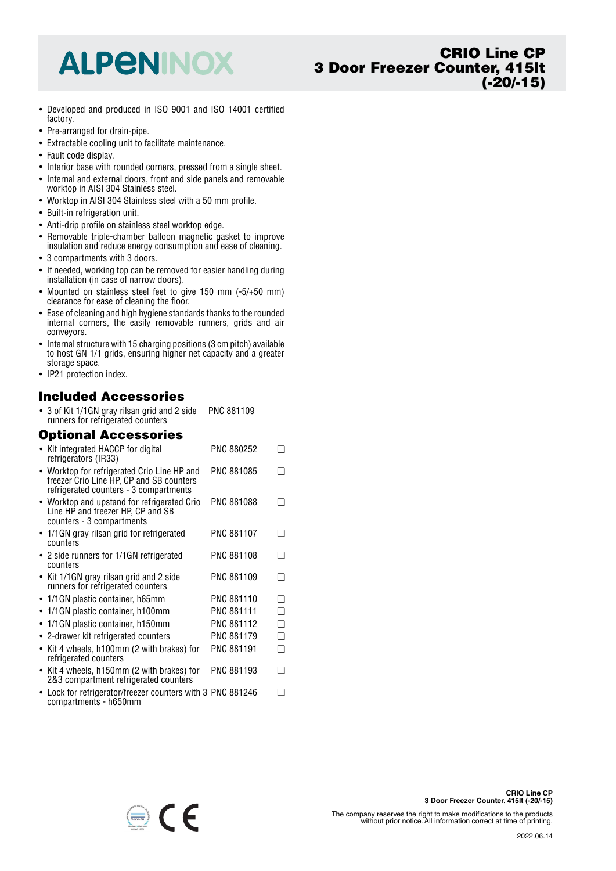## **ALPENINOX**

- Developed and produced in ISO 9001 and ISO 14001 certified factory.
- Pre-arranged for drain-pipe.
- Extractable cooling unit to facilitate maintenance.
- Fault code display.
- Interior base with rounded corners, pressed from a single sheet.
- Internal and external doors, front and side panels and removable worktop in AISI 304 Stainless steel.
- Worktop in AISI 304 Stainless steel with a 50 mm profile.
- Built-in refrigeration unit.
- Anti-drip profile on stainless steel worktop edge.
- Removable triple-chamber balloon magnetic gasket to improve insulation and reduce energy consumption and ease of cleaning.
- 3 compartments with 3 doors.
- If needed, working top can be removed for easier handling during installation (in case of narrow doors).
- Mounted on stainless steel feet to give 150 mm (-5/+50 mm) clearance for ease of cleaning the floor.
- • Ease of cleaning and high hygiene standards thanks to the rounded internal corners, the easily removable runners, grids and air conveyors.
- Internal structure with 15 charging positions (3 cm pitch) available to host GN 1/1 grids, ensuring higher net capacity and a greater storage space.
- IP21 protection index.

#### **Included Accessories**

• 3 of Kit 1/1GN gray rilsan grid and 2 side runners for refrigerated counters PNC 881109

#### **Optional Accessories**

| • Kit integrated HACCP for digital<br>refrigerators (IR33) |                                                                                                                                   | PNC 880252        |     |
|------------------------------------------------------------|-----------------------------------------------------------------------------------------------------------------------------------|-------------------|-----|
|                                                            | • Worktop for refrigerated Crio Line HP and<br>freezer Crio Line HP, CP and SB counters<br>refrigerated counters - 3 compartments | PNC 881085        | - 1 |
| counters - 3 compartments                                  | • Worktop and upstand for refrigerated Crio<br>Line HP and freezer HP, CP and SB                                                  | PNC 881088        | ∩   |
| counters                                                   | • 1/1GN gray rilsan grid for refrigerated                                                                                         | <b>PNC 881107</b> | □   |
| counters                                                   | • 2 side runners for 1/1GN refrigerated                                                                                           | PNC 881108        | ∩   |
|                                                            | • Kit 1/1GN gray rilsan grid and 2 side<br>runners for refrigerated counters                                                      | PNC 881109        | ∩   |
| • 1/1GN plastic container, h65mm                           |                                                                                                                                   | PNC 881110        | ∩   |
|                                                            | 1/1GN plastic container, h100mm                                                                                                   | <b>PNC 881111</b> | ∩   |
| $\bullet$                                                  | 1/1GN plastic container, h150mm                                                                                                   | PNC 881112        | ❏   |
|                                                            | • 2-drawer kit refrigerated counters                                                                                              | PNC 881179        | ❏   |
| $\bullet$<br>refrigerated counters                         | Kit 4 wheels, h100mm (2 with brakes) for                                                                                          | <b>PNC 881191</b> | ∩   |
|                                                            | • Kit 4 wheels, h150mm (2 with brakes) for<br>2&3 compartment refrigerated counters                                               | PNC 881193        | ∩   |
| compartments - h650mm                                      | • Lock for refrigerator/freezer counters with 3 PNC 881246                                                                        |                   | ∩   |



The company reserves the right to make modifications to the products without prior notice. All information correct at time of printing.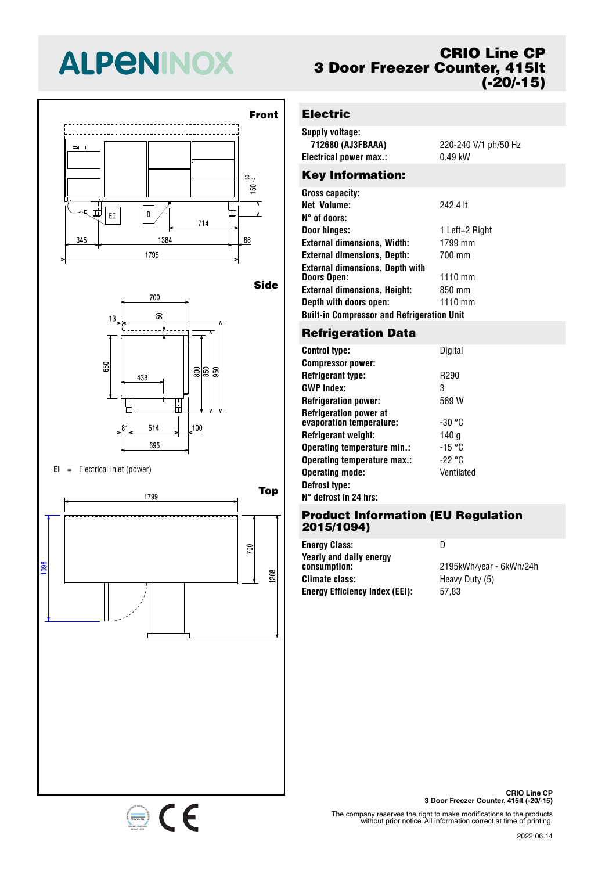# **ALPENINOX**





#### **EI** <sup>=</sup> Electrical inlet (power)



## **CRIO Line CP 3 Door Freezer Counter, 415lt (-20/-15)**

## **Electric**

| Supply voltage:         |                      |
|-------------------------|----------------------|
| 712680 (AJ3FBAAA)       | 220-240 V/1 ph/50 Hz |
| Electrical power max.:  | $0.49$ kW            |
| <b>Key Information:</b> |                      |
| Gross capacity:         |                      |

| <b>Net Volume:</b>                                | 242.4 lt       |  |  |
|---------------------------------------------------|----------------|--|--|
| N° of doors:                                      |                |  |  |
| Door hinges:                                      | 1 Left+2 Right |  |  |
| <b>External dimensions, Width:</b>                | 1799 mm        |  |  |
| <b>External dimensions, Depth:</b>                | 700 mm         |  |  |
| <b>External dimensions, Depth with</b>            |                |  |  |
| <b>Doors Open:</b>                                | $1110$ mm      |  |  |
| <b>External dimensions, Height:</b>               | 850 mm         |  |  |
| Depth with doors open:                            | 1110 mm        |  |  |
| <b>Built-in Compressor and Refrigeration Unit</b> |                |  |  |

#### **Refrigeration Data**

| Control type:                                             | Digital          |
|-----------------------------------------------------------|------------------|
| <b>Compressor power:</b>                                  |                  |
| Refrigerant type:                                         | R <sub>290</sub> |
| GWP Index:                                                | 3                |
| <b>Refrigeration power:</b>                               | 569 W            |
| <b>Refrigeration power at</b><br>evaporation temperature: | $-30 °C$         |
| Refrigerant weight:                                       | 140 g            |
| Operating temperature min.:                               | $-15 °C$         |
| Operating temperature max.:                               | -22 °C           |
| <b>Operating mode:</b>                                    | Ventilated       |
| Defrost type:                                             |                  |
|                                                           |                  |

#### **N° defrost in 24 hrs:**

#### **Product Information (EU Regulation 2015/1094)**

**Energy Class:** D **Yearly and daily energy Climate class:** Heavy Duty (5) **Energy Efficiency Index (EEI):** 57,83

**consumption:** 2195kWh/year - 6kWh/24h



The company reserves the right to make modifications to the products without prior notice. All information correct at time of printing.